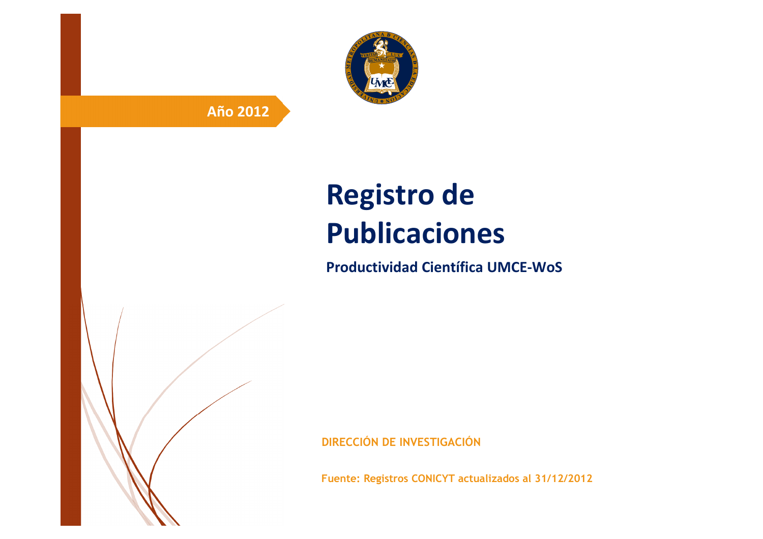

# **Año 2012**

# **Registro de Publicaciones**

**Productividad Científica UMCE-WoS** 

**DIRECCIÓN DE INVESTIGACIÓN**

**Fuente: Registros CONICYT actualizados al 31/12/2012**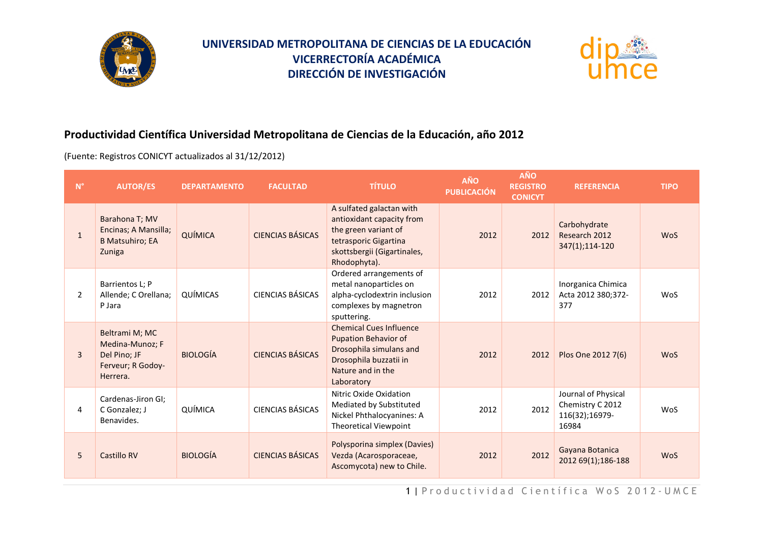



#### **Productividad Científica Universidad Metropolitana de Ciencias de la Educación, año 2012**

(Fuente: Registros CONICYT actualizados al 31/12/2012)

| $\mathsf{N}^\circ$ | <b>AUTOR/ES</b>                                                                    | <b>DEPARTAMENTO</b> | <b>FACULTAD</b>         | <b>TÍTULO</b>                                                                                                                                         | <b>AÑO</b><br><b>PUBLICACIÓN</b> | <b>AÑO</b><br><b>REGISTRO</b><br><b>CONICYT</b> | <b>REFERENCIA</b>                                                  | <b>TIPO</b> |
|--------------------|------------------------------------------------------------------------------------|---------------------|-------------------------|-------------------------------------------------------------------------------------------------------------------------------------------------------|----------------------------------|-------------------------------------------------|--------------------------------------------------------------------|-------------|
| $\mathbf{1}$       | Barahona T; MV<br>Encinas; A Mansilla;<br><b>B Matsuhiro; EA</b><br>Zuniga         | QUÍMICA             | <b>CIENCIAS BÁSICAS</b> | A sulfated galactan with<br>antioxidant capacity from<br>the green variant of<br>tetrasporic Gigartina<br>skottsbergii (Gigartinales,<br>Rhodophyta). | 2012                             | 2012                                            | Carbohydrate<br>Research 2012<br>347(1);114-120                    | <b>WoS</b>  |
| 2                  | Barrientos L; P<br>Allende; C Orellana;<br>P Jara                                  | QUÍMICAS            | CIENCIAS BÁSICAS        | Ordered arrangements of<br>metal nanoparticles on<br>alpha-cyclodextrin inclusion<br>complexes by magnetron<br>sputtering.                            | 2012                             | 2012                                            | Inorganica Chimica<br>Acta 2012 380;372-<br>377                    | <b>WoS</b>  |
| $\overline{3}$     | Beltrami M; MC<br>Medina-Munoz; F<br>Del Pino; JF<br>Ferveur; R Godoy-<br>Herrera. | <b>BIOLOGÍA</b>     | <b>CIENCIAS BÁSICAS</b> | <b>Chemical Cues Influence</b><br><b>Pupation Behavior of</b><br>Drosophila simulans and<br>Drosophila buzzatii in<br>Nature and in the<br>Laboratory | 2012                             | 2012                                            | Plos One 2012 7(6)                                                 | <b>WoS</b>  |
| 4                  | Cardenas-Jiron GI;<br>C Gonzalez; J<br>Benavides.                                  | QUÍMICA             | <b>CIENCIAS BÁSICAS</b> | Nitric Oxide Oxidation<br>Mediated by Substituted<br>Nickel Phthalocyanines: A<br><b>Theoretical Viewpoint</b>                                        | 2012                             | 2012                                            | Journal of Physical<br>Chemistry C 2012<br>116(32);16979-<br>16984 | <b>WoS</b>  |
| 5                  | Castillo RV                                                                        | <b>BIOLOGÍA</b>     | CIENCIAS BÁSICAS        | Polysporina simplex (Davies)<br>Vezda (Acarosporaceae,<br>Ascomycota) new to Chile.                                                                   | 2012                             | 2012                                            | Gayana Botanica<br>2012 69(1);186-188                              | <b>WoS</b>  |

1 | Productividad Científica WoS 2012-UMCE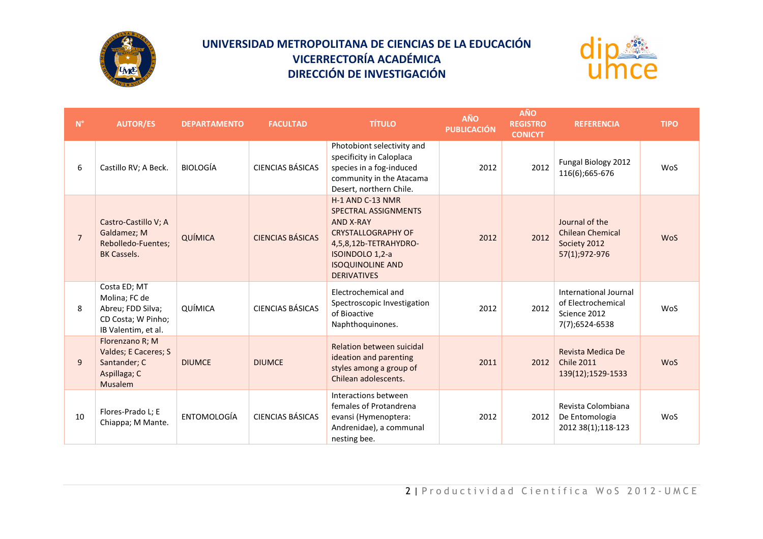



| $N^{\circ}$    | <b>AUTOR/ES</b>                                                                                 | <b>DEPARTAMENTO</b> | <b>FACULTAD</b>         | <b>TÍTULO</b>                                                                                                                                                                          | AÑO<br><b>PUBLICACIÓN</b> | <b>AÑO</b><br><b>REGISTRO</b><br><b>CONICYT</b> | <b>REFERENCIA</b>                                                             | <b>TIPO</b> |
|----------------|-------------------------------------------------------------------------------------------------|---------------------|-------------------------|----------------------------------------------------------------------------------------------------------------------------------------------------------------------------------------|---------------------------|-------------------------------------------------|-------------------------------------------------------------------------------|-------------|
| 6              | Castillo RV; A Beck.                                                                            | <b>BIOLOGÍA</b>     | <b>CIENCIAS BÁSICAS</b> | Photobiont selectivity and<br>specificity in Caloplaca<br>species in a fog-induced<br>community in the Atacama<br>Desert, northern Chile.                                              | 2012                      | 2012                                            | Fungal Biology 2012<br>116(6);665-676                                         | WoS         |
| $\overline{7}$ | Castro-Castillo V; A<br>Galdamez; M<br>Rebolledo-Fuentes:<br><b>BK Cassels.</b>                 | QUÍMICA             | <b>CIENCIAS BÁSICAS</b> | H-1 AND C-13 NMR<br>SPECTRAL ASSIGNMENTS<br><b>AND X-RAY</b><br><b>CRYSTALLOGRAPHY OF</b><br>4,5,8,12b-TETRAHYDRO-<br>ISOINDOLO 1,2-a<br><b>ISOQUINOLINE AND</b><br><b>DERIVATIVES</b> | 2012                      | 2012                                            | Journal of the<br><b>Chilean Chemical</b><br>Society 2012<br>57(1);972-976    | <b>WoS</b>  |
| 8              | Costa ED; MT<br>Molina; FC de<br>Abreu; FDD Silva;<br>CD Costa; W Pinho;<br>IB Valentim, et al. | QUÍMICA             | <b>CIENCIAS BÁSICAS</b> | Electrochemical and<br>Spectroscopic Investigation<br>of Bioactive<br>Naphthoquinones.                                                                                                 | 2012                      | 2012                                            | International Journal<br>of Electrochemical<br>Science 2012<br>7(7);6524-6538 | WoS         |
| 9              | Florenzano R; M<br>Valdes; E Caceres; S<br>Santander; C<br>Aspillaga; C<br><b>Musalem</b>       | <b>DIUMCE</b>       | <b>DIUMCE</b>           | Relation between suicidal<br>ideation and parenting<br>styles among a group of<br>Chilean adolescents.                                                                                 | 2011                      | 2012                                            | Revista Medica De<br><b>Chile 2011</b><br>139(12);1529-1533                   | <b>WoS</b>  |
| 10             | Flores-Prado L; E<br>Chiappa; M Mante.                                                          | <b>ENTOMOLOGÍA</b>  | <b>CIENCIAS BÁSICAS</b> | Interactions between<br>females of Protandrena<br>evansi (Hymenoptera:<br>Andrenidae), a communal<br>nesting bee.                                                                      | 2012                      | 2012                                            | Revista Colombiana<br>De Entomologia<br>2012 38(1);118-123                    | WoS         |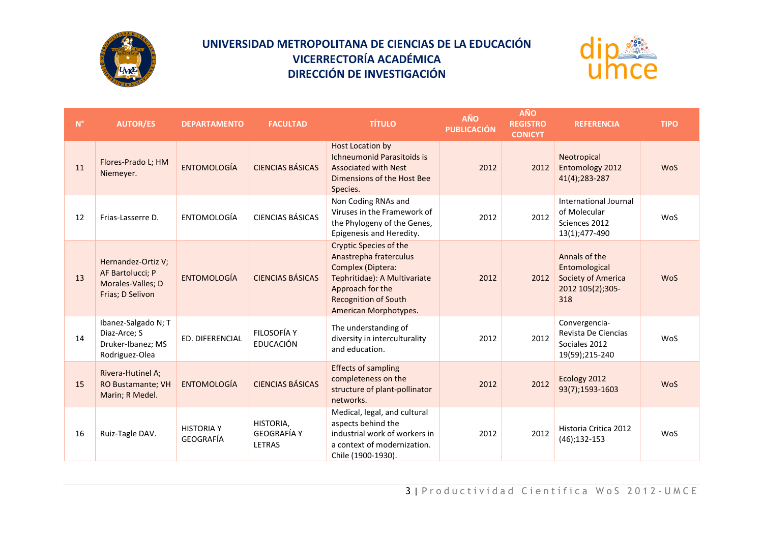



| $N^{\circ}$ | <b>AUTOR/ES</b>                                                                 | <b>DEPARTAMENTO</b>            | <b>FACULTAD</b>                           | <b>TÍTULO</b>                                                                                                                                                                            | AÑO<br><b>PUBLICACIÓN</b> | <b>AÑO</b><br><b>REGISTRO</b><br><b>CONICYT</b> | <b>REFERENCIA</b>                                                               | <b>TIPO</b> |
|-------------|---------------------------------------------------------------------------------|--------------------------------|-------------------------------------------|------------------------------------------------------------------------------------------------------------------------------------------------------------------------------------------|---------------------------|-------------------------------------------------|---------------------------------------------------------------------------------|-------------|
| 11          | Flores-Prado L; HM<br>Niemeyer.                                                 | <b>ENTOMOLOGÍA</b>             | <b>CIENCIAS BÁSICAS</b>                   | Host Location by<br><b>Ichneumonid Parasitoids is</b><br><b>Associated with Nest</b><br>Dimensions of the Host Bee<br>Species.                                                           | 2012                      | 2012                                            | Neotropical<br>Entomology 2012<br>41(4);283-287                                 | <b>WoS</b>  |
| 12          | Frias-Lasserre D.                                                               | ENTOMOLOGÍA                    | <b>CIENCIAS BÁSICAS</b>                   | Non Coding RNAs and<br>Viruses in the Framework of<br>the Phylogeny of the Genes,<br>Epigenesis and Heredity.                                                                            | 2012                      | 2012                                            | International Journal<br>of Molecular<br>Sciences 2012<br>13(1);477-490         | WoS         |
| 13          | Hernandez-Ortiz V;<br>AF Bartolucci; P<br>Morales-Valles; D<br>Frias; D Selivon | <b>ENTOMOLOGÍA</b>             | <b>CIENCIAS BÁSICAS</b>                   | <b>Cryptic Species of the</b><br>Anastrepha fraterculus<br>Complex (Diptera:<br>Tephritidae): A Multivariate<br>Approach for the<br><b>Recognition of South</b><br>American Morphotypes. | 2012                      | 2012                                            | Annals of the<br>Entomological<br>Society of America<br>2012 105(2);305-<br>318 | <b>WoS</b>  |
| 14          | Ibanez-Salgado N; T<br>Diaz-Arce; S<br>Druker-Ibanez; MS<br>Rodriguez-Olea      | <b>ED. DIFERENCIAL</b>         | FILOSOFÍA Y<br>EDUCACIÓN                  | The understanding of<br>diversity in interculturality<br>and education.                                                                                                                  | 2012                      | 2012                                            | Convergencia-<br>Revista De Ciencias<br>Sociales 2012<br>19(59);215-240         | WoS         |
| 15          | Rivera-Hutinel A;<br>RO Bustamante; VH<br>Marin; R Medel.                       | <b>ENTOMOLOGÍA</b>             | <b>CIENCIAS BÁSICAS</b>                   | <b>Effects of sampling</b><br>completeness on the<br>structure of plant-pollinator<br>networks.                                                                                          | 2012                      | 2012                                            | Ecology 2012<br>93(7);1593-1603                                                 | <b>WoS</b>  |
| 16          | Ruiz-Tagle DAV.                                                                 | <b>HISTORIA Y</b><br>GEOGRAFÍA | HISTORIA,<br><b>GEOGRAFÍA Y</b><br>LETRAS | Medical, legal, and cultural<br>aspects behind the<br>industrial work of workers in<br>a context of modernization.<br>Chile (1900-1930).                                                 | 2012                      | 2012                                            | Historia Critica 2012<br>$(46); 132-153$                                        | WoS         |